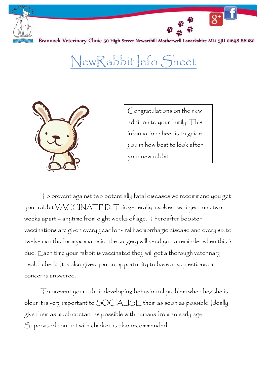

NewRabbit Info Sheet



Congratulations on the new addition to your family. This information sheet is to guide you in how best to look after your new rabbit.

To prevent against two potentially fatal diseases we recommend you get your rabbit VACCINATED. This generally involves two injections two weeks apart – anytime from eight weeks of age. Thereafter booster vaccinations are given every year for viral haemorrhagic disease and every six to twelve months for myxomatosis- the surgery will send you a reminder when this is due. Each time your rabbit is vaccinated they will get a thorough veterinary health check. It is also gives you an opportunity to have any questions or concerns answered.

To prevent your rabbit developing behavioural problem when he/she is older it is very important to SOCIALISE them as soon as possible. Ideally give them as much contact as possible with humans from an early age. Supervised contact with children is also recommended.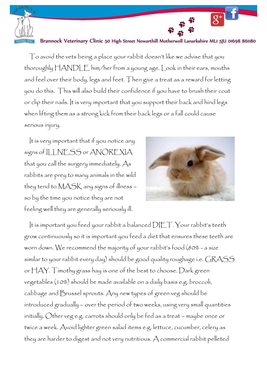

To avoid the vets being a place your rabbit doesn't like we advise that you thoroughly HANDLE him/her from a young age. Look in their ears, mouths and feel over their body, legs and feet. Then give a treat as a reward for letting you do this. This will also build their confidence if you have to brush their coat or clip their nails. It is very important that you support their back and hind legs when lifting them as a strong kick from their back legs or a fall could cause serious injury.

It is very important that if you notice any signs of ILLNESS or ANOREXIA that you call the surgery immediately. As rabbits are prey to many animals in the wild they tend to MASK any signs of illness – so by the time you notice they are not feeling well they are generally seriously ill.



It is important you feed your rabbit a balanced DIET. Your rabbit's teeth grow continuously so it is important you feed a diet that ensures these teeth are worn down. We recommend the majority of your rabbit's food (80% - a size similar to your rabbit every day) should be good quality roughage i.e. GRASS or HAY. Timothy grass hay is one of the best to choose. Dark green vegetables (10%) should be made available on a daily basis e.g. broccoli, cabbage and Brussel sprouts. Any new types of green veg should be introduced gradually – over the period of two weeks, using very small quantities initially. Other veg e.g. carrots should only be fed as a treat – maybe once or twice a week. Avoid lighter green salad items e.g. lettuce, cucumber, celery as they are harder to digest and not very nutritious. A commercial rabbit pelleted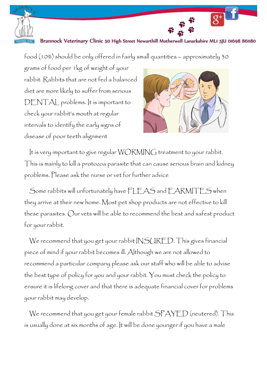

food (10%) should be only offered in fairly small quantities – approximately 30

grams of food per 1kg of weight of your rabbit. Rabbits that are not fed a balanced diet are more likely to suffer from serious DENTAL problems. It is important to check your rabbit's mouth at regular intervals to identify the early signs of disease of poor teeth alignment



It is very important to give regular WORMING treatment to your rabbit. This is mainly to kill a protozoa parasite that can cause serious brain and kidney problems. Please ask the nurse or vet for further advice

Some rabbits will unfortunately have FLEAS and EARMITES when they arrive at their new home. Most pet shop products are not effective to kill these parasites. Our vets will be able to recommend the best and safest product for your rabbit.

We recommend that you get your rabbit INSURED. This gives financial piece of mind if your rabbit becomes ill. Although we are not allowed to recommend a particular company please ask our staff who will be able to advise the best type of policy for you and your rabbit. You must check the policy to ensure it is lifelong cover and that there is adequate financial cover for problems your rabbit may develop.

We recommend that you get your female rabbit SPAYED (neutered). This is usually done at six months of age. It will be done younger if you have a male